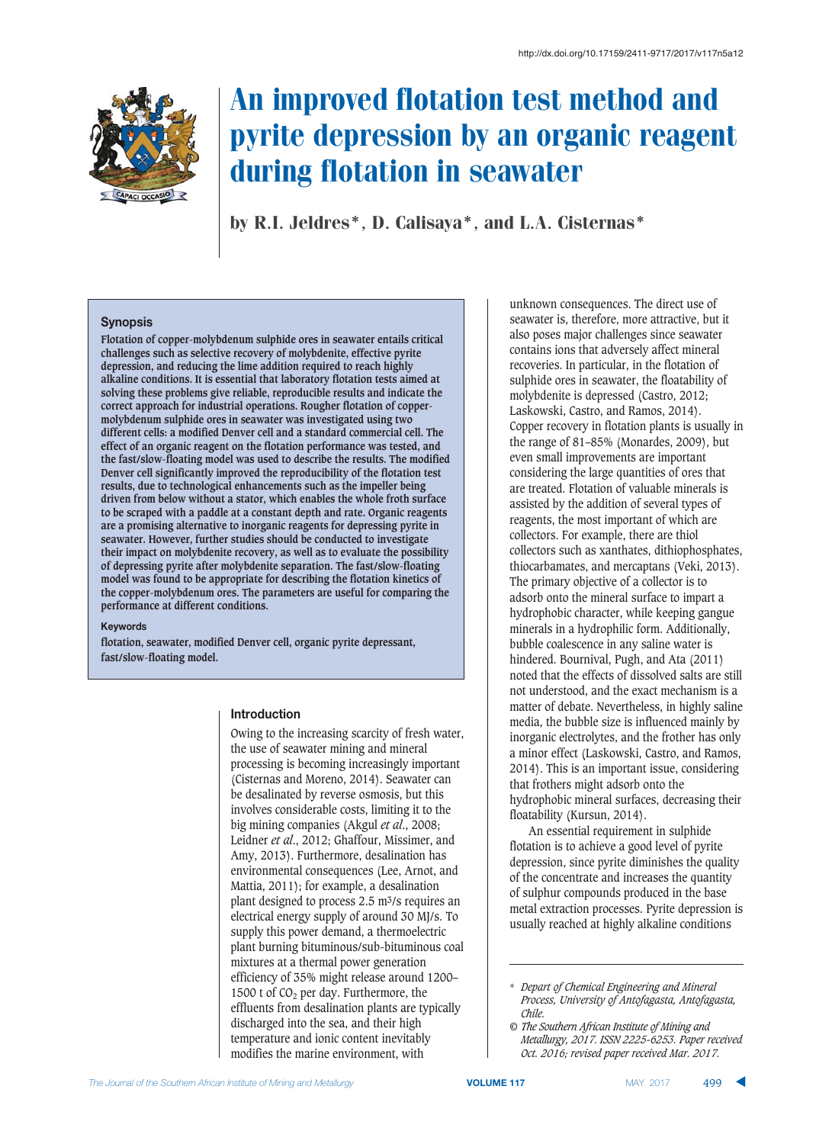

# An improved flotation test method and pyrite depression by an organic reagent during flotation in seawater

by R.I. Jeldres\*, D. Calisaya\*, and L.A. Cisternas\*

# $$$ *Synopsis*

**Flotation of copper-molybdenum sulphide ores in seawater entails critical challenges such as selective recovery of molybdenite, effective pyrite depression, and reducing the lime addition required to reach highly alkaline conditions. It is essential that laboratory flotation tests aimed at solving these problems give reliable, reproducible results and indicate the correct approach for industrial operations. Rougher flotation of coppermolybdenum sulphide ores in seawater was investigated using two different cells: a modified Denver cell and a standard commercial cell. The effect of an organic reagent on the flotation performance was tested, and the fast/slow-floating model was used to describe the results. The modified Denver cell significantly improved the reproducibility of the flotation test results, due to technological enhancements such as the impeller being driven from below without a stator, which enables the whole froth surface to be scraped with a paddle at a constant depth and rate. Organic reagents are a promising alternative to inorganic reagents for depressing pyrite in seawater. However, further studies should be conducted to investigate their impact on molybdenite recovery, as well as to evaluate the possibility of depressing pyrite after molybdenite separation. The fast/slow-floating model was found to be appropriate for describing the flotation kinetics of the copper-molybdenum ores. The parameters are useful for comparing the performance at different conditions.**

#### $K$ **evwords**

**flotation, seawater, modified Denver cell, organic pyrite depressant, fast/slow-floating model.**

## **Introduction**

Owing to the increasing scarcity of fresh water, the use of seawater mining and mineral processing is becoming increasingly important (Cisternas and Moreno, 2014). Seawater can be desalinated by reverse osmosis, but this involves considerable costs, limiting it to the big mining companies (Akgul *et al*., 2008; Leidner *et al*., 2012; Ghaffour, Missimer, and Amy, 2013). Furthermore, desalination has environmental consequences (Lee, Arnot, and Mattia, 2011); for example, a desalination plant designed to process 2.5 m3/s requires an electrical energy supply of around 30 MJ/s. To supply this power demand, a thermoelectric plant burning bituminous/sub-bituminous coal mixtures at a thermal power generation efficiency of 35% might release around 1200– 1500 t of  $CO<sub>2</sub>$  per day. Furthermore, the effluents from desalination plants are typically discharged into the sea, and their high temperature and ionic content inevitably modifies the marine environment, with

unknown consequences. The direct use of seawater is, therefore, more attractive, but it also poses major challenges since seawater contains ions that adversely affect mineral recoveries. In particular, in the flotation of sulphide ores in seawater, the floatability of molybdenite is depressed (Castro, 2012; Laskowski, Castro, and Ramos, 2014). Copper recovery in flotation plants is usually in the range of 81–85% (Monardes, 2009), but even small improvements are important considering the large quantities of ores that are treated. Flotation of valuable minerals is assisted by the addition of several types of reagents, the most important of which are collectors. For example, there are thiol collectors such as xanthates, dithiophosphates, thiocarbamates, and mercaptans (Veki, 2013). The primary objective of a collector is to adsorb onto the mineral surface to impart a hydrophobic character, while keeping gangue minerals in a hydrophilic form. Additionally, bubble coalescence in any saline water is hindered. Bournival, Pugh, and Ata (2011) noted that the effects of dissolved salts are still not understood, and the exact mechanism is a matter of debate. Nevertheless, in highly saline media, the bubble size is influenced mainly by inorganic electrolytes, and the frother has only a minor effect (Laskowski, Castro, and Ramos, 2014). This is an important issue, considering that frothers might adsorb onto the hydrophobic mineral surfaces, decreasing their floatability (Kursun, 2014).

An essential requirement in sulphide flotation is to achieve a good level of pyrite depression, since pyrite diminishes the quality of the concentrate and increases the quantity of sulphur compounds produced in the base metal extraction processes. Pyrite depression is usually reached at highly alkaline conditions

<sup>\*</sup> *Depart of Chemical Engineering and Mineral Process, University of Antofagasta, Antofagasta, Chile.*

*<sup>©</sup> The Southern African Institute of Mining and Metallurgy, 2017. ISSN 2225-6253. Paper received Oct. 2016; revised paper received Mar. 2017.*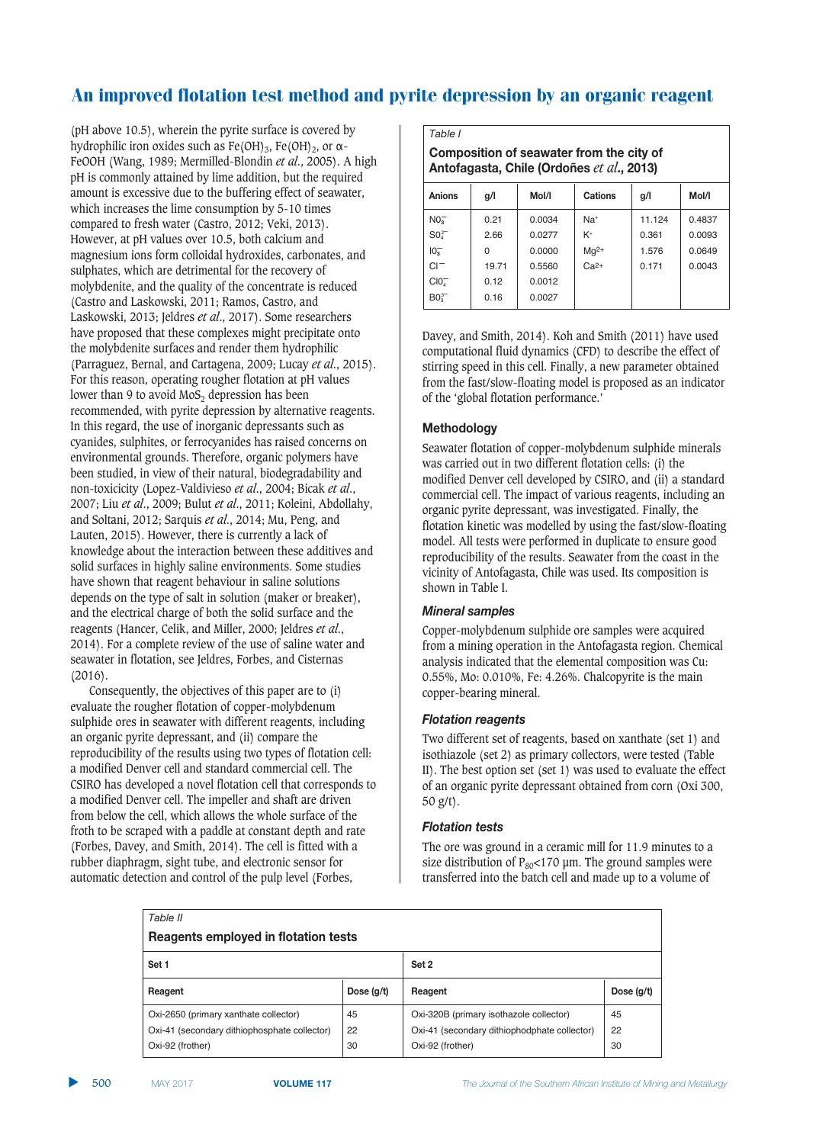(pH above 10.5), wherein the pyrite surface is covered by hydrophilic iron oxides such as  $Fe(OH)_3$ ,  $Fe(OH)_2$ , or  $\alpha$ -FeOOH (Wang, 1989; Mermilled-Blondin *et al*., 2005). A high pH is commonly attained by lime addition, but the required amount is excessive due to the buffering effect of seawater, which increases the lime consumption by 5-10 times compared to fresh water (Castro, 2012; Veki, 2013). However, at pH values over 10.5, both calcium and magnesium ions form colloidal hydroxides, carbonates, and sulphates, which are detrimental for the recovery of molybdenite, and the quality of the concentrate is reduced (Castro and Laskowski, 2011; Ramos, Castro, and Laskowski, 2013; Jeldres *et al*., 2017). Some researchers have proposed that these complexes might precipitate onto the molybdenite surfaces and render them hydrophilic (Parraguez, Bernal, and Cartagena, 2009; Lucay *et al*., 2015). For this reason, operating rougher flotation at pH values lower than 9 to avoid  $MoS<sub>2</sub>$  depression has been recommended, with pyrite depression by alternative reagents. In this regard, the use of inorganic depressants such as cyanides, sulphites, or ferrocyanides has raised concerns on environmental grounds. Therefore, organic polymers have been studied, in view of their natural, biodegradability and non-toxicicity (Lopez-Valdivieso *et al*., 2004; Bicak *et al*., 2007; Liu *et al*., 2009; Bulut *et al*., 2011; Koleini, Abdollahy, and Soltani, 2012; Sarquís *et al*., 2014; Mu, Peng, and Lauten, 2015). However, there is currently a lack of knowledge about the interaction between these additives and solid surfaces in highly saline environments. Some studies have shown that reagent behaviour in saline solutions depends on the type of salt in solution (maker or breaker), and the electrical charge of both the solid surface and the reagents (Hancer, Celik, and Miller, 2000; Jeldres *et al*., 2014). For a complete review of the use of saline water and seawater in flotation, see Jeldres, Forbes, and Cisternas (2016).

Consequently, the objectives of this paper are to (i) evaluate the rougher flotation of copper-molybdenum sulphide ores in seawater with different reagents, including an organic pyrite depressant, and (ii) compare the reproducibility of the results using two types of flotation cell: a modified Denver cell and standard commercial cell. The CSIRO has developed a novel flotation cell that corresponds to a modified Denver cell. The impeller and shaft are driven from below the cell, which allows the whole surface of the froth to be scraped with a paddle at constant depth and rate (Forbes, Davey, and Smith, 2014). The cell is fitted with a rubber diaphragm, sight tube, and electronic sensor for automatic detection and control of the pulp level (Forbes,

*Table I* **2 8**  $\frac{1}{2}$  **5**  $\frac{1}{2}$  **p**  $\frac{1}{2}$  **p**  $\frac{1}{2}$  **p**  $\frac{1}{2}$  **p**  $\frac{1}{2}$  **p**  $\frac{1}{2}$  **p**  $\frac{1}{2}$  **p**  $\frac{1}{2}$  **p**  $\frac{1}{2}$  **p**  $\frac{1}{2}$  **p**  $\frac{1}{2}$  **p**  $\frac{1}{2}$  **p**  $\frac{1}{2}$  **p**  $\frac{1}{2}$  **p**  $\frac{$ **Antofagasta, Chile (Ordoñes** et al., 2013)  **58954 -!3 93!3 #7:8954 -!3 93!3**  $N<sub>0</sub>$  $\frac{1}{3}$  | 0.21 | 0.0034 | Na<sup>+</sup> | 11.124 | 0.4837  $SO<sub>4</sub>$ <sup>2-</sup>  $\frac{2}{4}$  2.66 0.0277 K<sup>+</sup> 0.361 0.0093  $10<sub>2</sub>$ 0  $\big|$  0.0000  $\big|$  Mg<sup>2+</sup>  $\big|$  1.576  $\big|$  0.0649  $CI^-$  | 19.71 0.5560  $Ca^{2+}$  | 0.171 0.0043  $CIO<sub>7</sub>$  $0.12$  0.0012

Davey, and Smith, 2014). Koh and Smith (2011) have used computational fluid dynamics (CFD) to describe the effect of stirring speed in this cell. Finally, a new parameter obtained from the fast/slow-floating model is proposed as an indicator of the 'global flotation performance.'

 $0.16$  0.0027

# **Methodology**

 $BO<sub>2</sub><sup>3</sup>$ 

Seawater flotation of copper-molybdenum sulphide minerals was carried out in two different flotation cells: (i) the modified Denver cell developed by CSIRO, and (ii) a standard commercial cell. The impact of various reagents, including an organic pyrite depressant, was investigated. Finally, the flotation kinetic was modelled by using the fast/slow-floating model. All tests were performed in duplicate to ensure good reproducibility of the results. Seawater from the coast in the vicinity of Antofagasta, Chile was used. Its composition is shown in Table I.

# *Mineral* samples

Copper-molybdenum sulphide ore samples were acquired from a mining operation in the Antofagasta region. Chemical analysis indicated that the elemental composition was Cu: 0.55%, Mo: 0.010%, Fe: 4.26%. Chalcopyrite is the main copper-bearing mineral.

# *Flotation reagents*

Two different set of reagents, based on xanthate (set 1) and isothiazole (set 2) as primary collectors, were tested (Table II). The best option set (set 1) was used to evaluate the effect of an organic pyrite depressant obtained from corn (Oxi 300, 50 g/t).

# *Flotation tests*

The ore was ground in a ceramic mill for 11.9 minutes to a size distribution of  $P_{80}$ <170 µm. The ground samples were transferred into the batch cell and made up to a volume of

| Table II                                     |              |                                              |              |  |  |  |  |  |  |
|----------------------------------------------|--------------|----------------------------------------------|--------------|--|--|--|--|--|--|
| Reagents employed in flotation tests         |              |                                              |              |  |  |  |  |  |  |
| Set 1                                        |              | Set 2                                        |              |  |  |  |  |  |  |
| Reagent                                      | Dose $(q/t)$ | Reagent                                      | Dose $(q/t)$ |  |  |  |  |  |  |
| Oxi-2650 (primary xanthate collector)        | 45           | Oxi-320B (primary isothazole collector)      | 45           |  |  |  |  |  |  |
| Oxi-41 (secondary dithiophosphate collector) | 22           | Oxi-41 (secondary dithiophodphate collector) | 22           |  |  |  |  |  |  |
| Oxi-92 (frother)                             | 30           | Oxi-92 (frother)                             | 30           |  |  |  |  |  |  |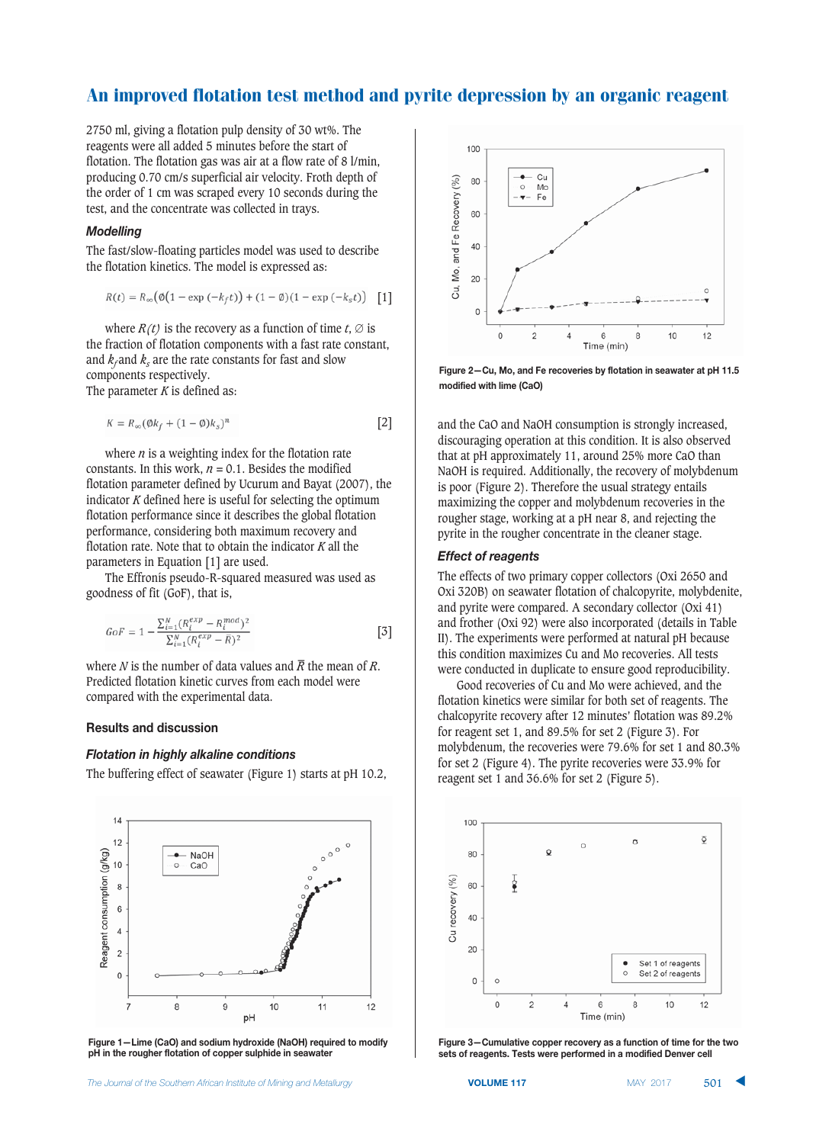$\mathbf{r}$ 

2750 ml, giving a flotation pulp density of 30 wt%. The reagents were all added 5 minutes before the start of flotation. The flotation gas was air at a flow rate of 8 l/min, producing 0.70 cm/s superficial air velocity. Froth depth of the order of 1 cm was scraped every 10 seconds during the test, and the concentrate was collected in trays.

## **Modelling**

The fast/slow-floating particles model was used to describe the flotation kinetics. The model is expressed as:

$$
R(t) = R_{\infty}(\emptyset(1 - \exp(-k_f t)) + (1 - \emptyset)(1 - \exp(-k_s t)) \quad [1]
$$

where  $R(t)$  is the recovery as a function of time  $t$ ,  $\emptyset$  is the fraction of flotation components with a fast rate constant, and  $k_f$  and  $k_s$  are the rate constants for fast and slow components respectively. The parameter *K* is defined as:

 $\sim$   $\sim$   $\sim$   $\sim$   $\sim$   $\sim$ 

$$
K = R_{\infty} (\mathcal{Q}k_f + (1 - \mathcal{Q})k_s)^n
$$

where  $n$  is a weighting index for the flotation rate constants. In this work,  $n = 0.1$ . Besides the modified flotation parameter defined by Ucurum and Bayat (2007), the indicator *K* defined here is useful for selecting the optimum flotation performance since it describes the global flotation performance, considering both maximum recovery and flotation rate. Note that to obtain the indicator *K* all the parameters in Equation [1] are used.

The Effronís pseudo-R-squared measured was used as goodness of fit (GoF), that is,

$$
GoF = 1 - \frac{\sum_{i=1}^{N} (R_i^{exp} - R_i^{mod})^2}{\sum_{i=1}^{N} (R_i^{exp} - \bar{R})^2}
$$
 [3]

where *N* is the number of data values and  $\bar{R}$  the mean of *R*. Predicted flotation kinetic curves from each model were compared with the experimental data.

#### **Results and discussion**

#### *Flotation in highly alkaline conditions*

The buffering effect of seawater (Figure 1) starts at pH 10.2,



**Figure 1–Lime (CaO) and sodium hydroxide (NaOH) required to modify**  $pH$  in the rougher flotation of copper sulphide in seawater



**Figure 2-Cu, Mo, and Fe recoveries by flotation in seawater at pH 11.5** modified with lime (CaO)

and the CaO and NaOH consumption is strongly increased, discouraging operation at this condition. It is also observed that at pH approximately 11, around 25% more CaO than NaOH is required. Additionally, the recovery of molybdenum is poor (Figure 2). Therefore the usual strategy entails maximizing the copper and molybdenum recoveries in the rougher stage, working at a pH near 8, and rejecting the pyrite in the rougher concentrate in the cleaner stage.

## **Effect of reagents**

The effects of two primary copper collectors (Oxi 2650 and Oxi 320B) on seawater flotation of chalcopyrite, molybdenite, and pyrite were compared. A secondary collector (Oxi 41) and frother (Oxi 92) were also incorporated (details in Table II). The experiments were performed at natural pH because this condition maximizes Cu and Mo recoveries. All tests were conducted in duplicate to ensure good reproducibility.

Good recoveries of Cu and Mo were achieved, and the flotation kinetics were similar for both set of reagents. The chalcopyrite recovery after 12 minutes' flotation was 89.2% for reagent set 1, and 89.5% for set 2 (Figure 3). For molybdenum, the recoveries were 79.6% for set 1 and 80.3% for set 2 (Figure 4). The pyrite recoveries were 33.9% for reagent set 1 and 36.6% for set 2 (Figure 5).



Figure 3-Cumulative copper recovery as a function of time for the two  $sets$  of reagents. Tests were performed in a modified Denver cell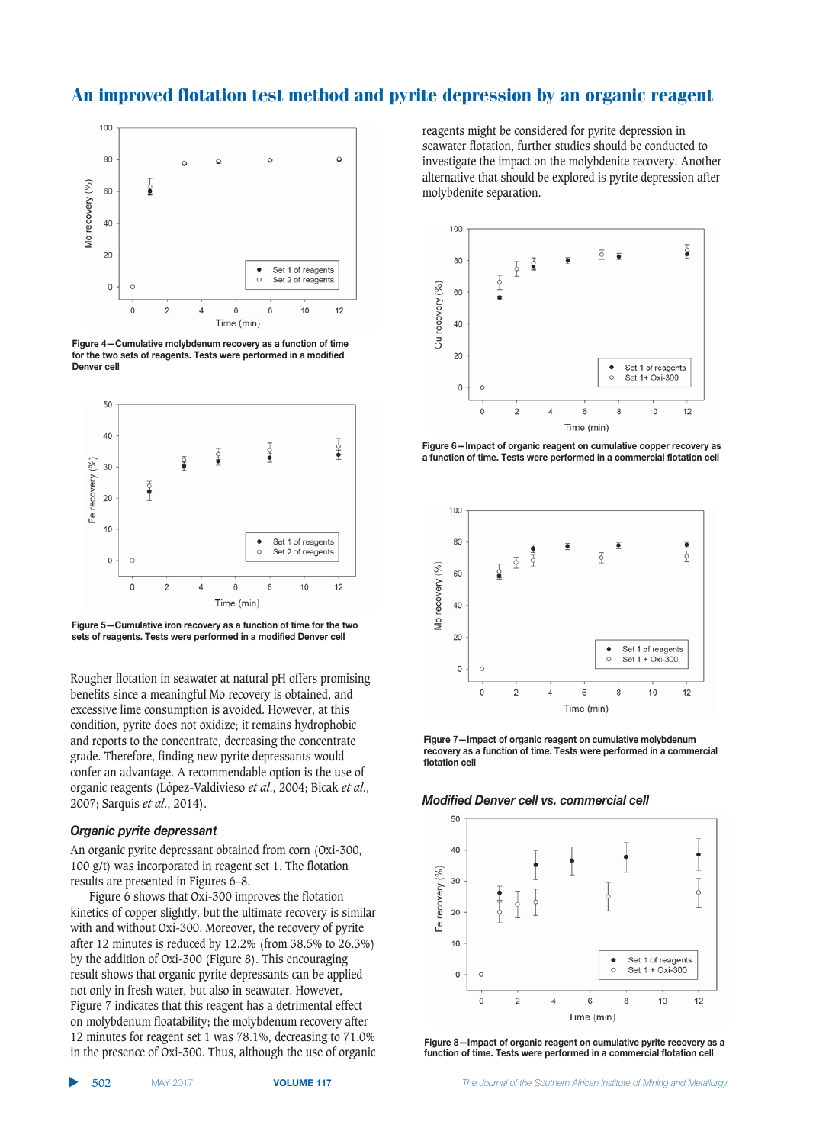

**Figure 4-Cumulative molybdenum recovery as a function of time** for the two sets of reagents. Tests were performed in a modified Denver<sub>cell</sub>



**Figure 5-Cumulative iron recovery as a function of time for the two**  $sets$  of reagents. Tests were performed in a modified Denver cell

Rougher flotation in seawater at natural pH offers promising benefits since a meaningful Mo recovery is obtained, and excessive lime consumption is avoided. However, at this condition, pyrite does not oxidize; it remains hydrophobic and reports to the concentrate, decreasing the concentrate grade. Therefore, finding new pyrite depressants would confer an advantage. A recommendable option is the use of organic reagents (López-Valdivieso *et al*., 2004; Bicak *et al*., 2007; Sarquís *et al*., 2014).

#### Organic pyrite depressant

An organic pyrite depressant obtained from corn (Oxi-300, 100 g/t) was incorporated in reagent set 1. The flotation results are presented in Figures 6–8.

Figure 6 shows that Oxi-300 improves the flotation kinetics of copper slightly, but the ultimate recovery is similar with and without Oxi-300. Moreover, the recovery of pyrite after 12 minutes is reduced by 12.2% (from 38.5% to 26.3%) by the addition of Oxi-300 (Figure 8). This encouraging result shows that organic pyrite depressants can be applied not only in fresh water, but also in seawater. However, Figure 7 indicates that this reagent has a detrimental effect on molybdenum floatability; the molybdenum recovery after 12 minutes for reagent set 1 was 78.1%, decreasing to 71.0% in the presence of Oxi-300. Thus, although the use of organic reagents might be considered for pyrite depression in seawater flotation, further studies should be conducted to investigate the impact on the molybdenite recovery. Another alternative that should be explored is pyrite depression after molybdenite separation.



**Figure 6-Impact of organic reagent on cumulative copper recovery as 72.50:89592:81;%;4:4(;6;,;62961;/8570911;60873239:7:8950;33**



**Figure 7-Impact of organic reagent on cumulative molybdenum** recovery as a function of time. Tests were performed in a commercial flotation<sub>cell</sub>





**Figure 8-Impact of organic reagent on cumulative pyrite recovery as a 2.52.5** function of time. Tests were performed in a commercial flotation cell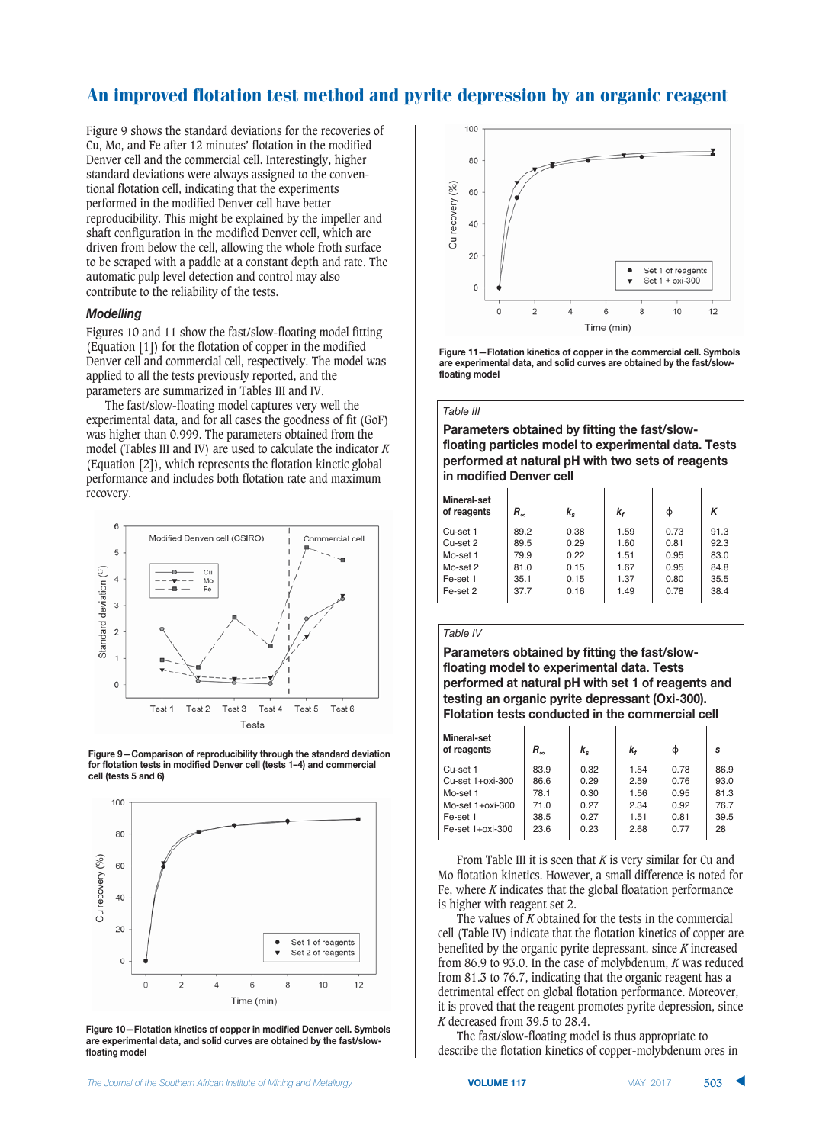Figure 9 shows the standard deviations for the recoveries of Cu, Mo, and Fe after 12 minutes' flotation in the modified Denver cell and the commercial cell. Interestingly, higher standard deviations were always assigned to the conventional flotation cell, indicating that the experiments performed in the modified Denver cell have better reproducibility. This might be explained by the impeller and shaft configuration in the modified Denver cell, which are driven from below the cell, allowing the whole froth surface to be scraped with a paddle at a constant depth and rate. The automatic pulp level detection and control may also contribute to the reliability of the tests.

## *Modelling*

Figures 10 and 11 show the fast/slow-floating model fitting (Equation [1]) for the flotation of copper in the modified Denver cell and commercial cell, respectively. The model was applied to all the tests previously reported, and the parameters are summarized in Tables III and IV.

The fast/slow-floating model captures very well the experimental data, and for all cases the goodness of fit (GoF) was higher than 0.999. The parameters obtained from the model (Tables III and IV) are used to calculate the indicator *K* (Equation [2]), which represents the flotation kinetic global performance and includes both flotation rate and maximum recovery.







**Figure 10-Flotation kinetics of copper in modified Denver cell. Symbols**  $25$  are experimental data, and solid curves are obtained by the fast/slowfloating model



**Figure 11-Flotation kinetics of copper in the commercial cell. Symbols**  $25$  are experimental data, and solid curves are obtained by the fast/slowfloating model

#### *Table III*

**Parameters obtained by fitting the fast/slow-235** floating particles model to experimental data. Tests **performed at natural pH with two sets of reagents**  $\mathbf{F}$  in modified Denver cell

| Mineral-set<br>of reagents | $R_{\scriptscriptstyle \infty}$ | $k_{\rm s}$ | k,   | Φ    | Κ    |  |  |  |
|----------------------------|---------------------------------|-------------|------|------|------|--|--|--|
| Cu-set 1                   | 89.2                            | 0.38        | 1.59 | 0.73 | 91.3 |  |  |  |
| Cu-set 2                   | 89.5                            | 0.29        | 1.60 | 0.81 | 92.3 |  |  |  |
| Mo-set 1                   | 79.9                            | 0.22        | 1.51 | 0.95 | 83.0 |  |  |  |
| Mo-set 2                   | 81.0                            | 0.15        | 1.67 | 0.95 | 84.8 |  |  |  |
| Fe-set 1                   | 35.1                            | 0.15        | 1.37 | 0.80 | 35.5 |  |  |  |
| Fe-set 2                   | 37.7                            | 0.16        | 1.49 | 0.78 | 38.4 |  |  |  |

#### *Table IV*

**Parameters obtained by fitting the fast/slow-2353:33 floating model to experimental data. Tests performed at natural pH with set 1 of reagents and testing an organic pyrite depressant (Oxi-300). Flotation tests conducted in the commercial cell** 

| Mineral-set<br>of reagents | $R_{\scriptscriptstyle{\infty}}$ | k.   | k,   | ф    | s    |
|----------------------------|----------------------------------|------|------|------|------|
| Cu-set 1                   | 83.9                             | 0.32 | 1.54 | 0.78 | 86.9 |
| Cu-set 1+oxi-300           | 86.6                             | 0.29 | 2.59 | 0.76 | 93.0 |
| Mo-set 1                   | 78.1                             | 0.30 | 1.56 | 0.95 | 81.3 |
| Mo-set $1+$ oxi-300        | 71.0                             | 0.27 | 2.34 | 0.92 | 76.7 |
| Fe-set 1                   | 38.5                             | 0.27 | 1.51 | 0.81 | 39.5 |
| Fe-set 1+oxi-300           | 23.6                             | 0.23 | 2.68 | 0.77 | 28   |

From Table III it is seen that *K* is very similar for Cu and Mo flotation kinetics. However, a small difference is noted for Fe, where *K* indicates that the global floatation performance is higher with reagent set 2.

The values of *K* obtained for the tests in the commercial cell (Table IV) indicate that the flotation kinetics of copper are benefited by the organic pyrite depressant, since *K* increased from 86.9 to 93.0. In the case of molybdenum, *K* was reduced from 81.3 to 76.7, indicating that the organic reagent has a detrimental effect on global flotation performance. Moreover, it is proved that the reagent promotes pyrite depression, since *K* decreased from 39.5 to 28.4.

The fast/slow-floating model is thus appropriate to describe the flotation kinetics of copper-molybdenum ores in